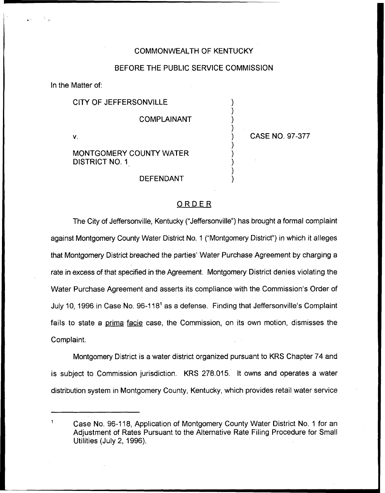## COMMONWEALTH OF KENTUCKY

#### BEFORE THE PUBLIC SERVICE COMMISSION

) ) ) )

) ) ) ) )

In the Matter of:

## CITY OF JEFFERSONVILLE

#### COMPLAINANT

 $\mathbf{V}$ .

) CASE NO. 97-377

## MONTGOMERY COUNTY WATER DISTRICT NO. 1

### DEFENDANT

### ORDER

The City of Jeffersonville, Kentucky ("Jeffersonville") has brought a formal complaint against Montgomery County Water District No. 1 ("Montgomery District") in which it allege that Montgomery District breached the parties' Water Purchase Agreement by charging a rate in excess of that specified in the Agreement. Montgomery District denies violating the Water Purchase Agreement and asserts its compliance with the Commission's Order of July 10, 1996 in Case No. 96-118<sup>1</sup> as a defense. Finding that Jeffersonville's Complaint fails to state a prima facie case, the Commission, on its own motion, dismisses the Complaint.

Montgomery District is a water district organized pursuant to KRS Chapter 74 and is subject to Commission jurisdiction. KRS 278.015. It owns and operates a water distribution system in Montgomery County, Kentucky, which provides retail water service

Case No. 96-118, Application of Montgomery County Water District No. <sup>1</sup> for an Adjustment of Rates Pursuant to the Alternative Rate Filing Procedure for Small Utilities (July 2, 1996).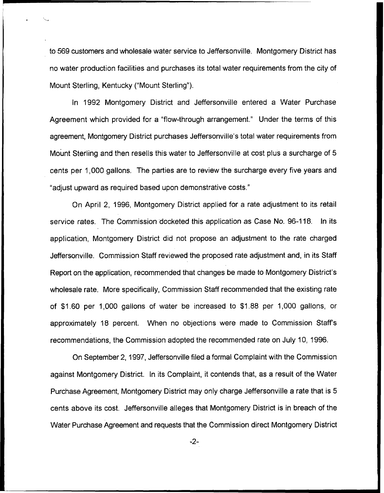to 569 customers and wholesale water service to Jeffersonville. Montgomery District has no water production facilities and purchases its total water requirements from the city of Mount Sterling, Kentucky ("Mount Sterling").

In 1992 Montgomery District and Jeffersonville entered a Water Purchase Agreement which provided for a "flow-through arrangement." Under the terms of this agreement, Montgomery District purchases Jeffersonville's total water requirements from Mount Sterling and then resells this water to Jeffersonville at cost plus a surcharge of 5 cents per 1,000 gallons. The parties are to review the surcharge every five years and "adjust upward as required based upon demonstrative costs."

On April 2, 1996, Montgomery District applied for a rate adjustment to its retail service rates. The Commission docketed this application as Case No. 96-118. In its application, Montgomery District did not propose an adjustment to the rate charged Jeffersonville. Commission Staff reviewed the proposed rate adjustment and, in its Staff Report on the application, recommended that changes be made to Montgomery District's wholesale rate. More specifically, Commission Staff recommended that the existing rate of \$1.60 per 1,000 gallons of water be increased to \$1.88 per 1,000 gallons, or approximately 18 percent. When no objections were made to Commission Staff's recommendations, the Commission adopted the recommended rate on July 10, 1996.

On September 2, 1997, Jeffersonville filed a formal Complaint with the Commission against Montgomery District. In its Complaint, it contends that, as a result of the Water Purchase Agreement, Montgomery District may only charge Jeffersonville a rate that is 5 cents above its cost. Jeffersonville alleges that Montgomery District is in breach of the Water Purchase Agreement and requests that the Commission direct Montgomery District

-2-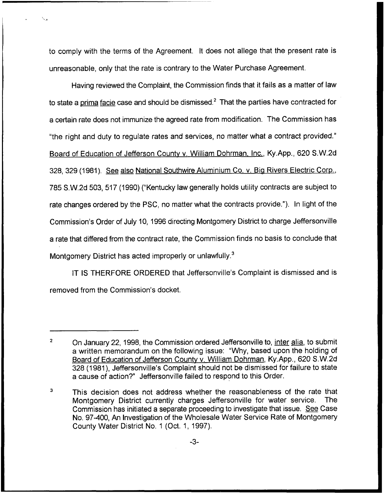to comply with the terms of the Agreement. It does not allege that the present rate is unreasonable, only that the rate is contrary to the Water Purchase Agreement.

Having reviewed the Complaint, the Commission finds that it fails as a matter of law to state a prima facie case and should be dismissed. $^2$  That the parties have contracted for a certain rate does not immunize the agreed rate from modification. The Commission has "the right and duty to regulate rates and services, no matter what a contract provided." Board of Education of Jefferson Countv v. William Dohrman. Inc., Ky.App., 620 S.W.2d 328, 329 (1981). See also National Southwire Aluminium Co. v. Bia Rivers Electric Corp., 785 S.W.2d 503, 517 (1990)("Kentucky law generally holds utility contracts are subject to rate changes ordered by the PSC, no matter what the contracts provide."). In light of the Commission's Order of July 10, 1996 directing Montgomery District to charge Jeffersonville a rate that differed from the contract rate, the Commission finds no basis to conclude that Montgomery District has acted improperly or unlawfully.<sup>3</sup>

IT IS THERFORE ORDERED that Jeffersonville's Complaint is dismissed and is removed from the Commission's docket.

 $\overline{\mathbf{c}}$ On January 22, 1998, the Commission ordered Jeffersonville to, inter alia, to submit a written memorandum on the following issue: "Why, based upon the holding of Board of Education of Jefferson County v. William Dohrman, Ky.App., 620 S.W.2d 328 (1981), Jeffersonville's Complaint should not be dismissed for failure to state a cause of action?" Jeffersonville failed to respond to this Order.

 $\mathbf{3}$ This decision does not address whether the reasonableness of the rate that Montgomery District currently charges Jeffersonyille for water service. The Montgomery District currently charges Jeffersonville for water service. Commission has initiated a separate proceeding to investigate that issue. See Case No. 97-400, An Investigation of the Wholesale Water Service Rate of Montgomery County Water District No. <sup>1</sup> (Oct. 1, 1997).